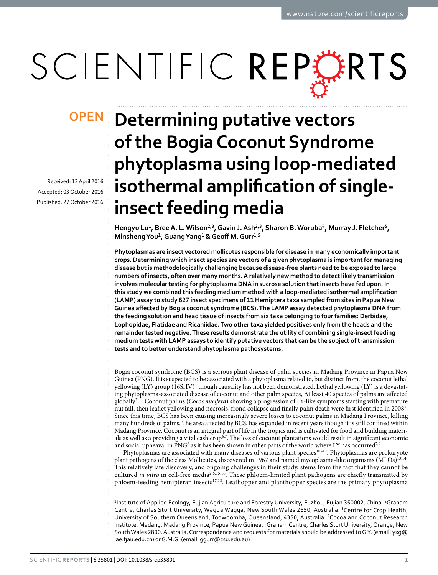# SCIENTIFIC REPERTS

Received: 12 April 2016 accepted: 03 October 2016 Published: 27 October 2016

## **Determining putative vectors OPENof the Bogia Coconut Syndrome phytoplasma using loop-mediated isothermal amplification of singleinsect feeding media**

Hengyu Lu<sup>1</sup>, Bree A. L. Wilson<sup>2,3</sup>, Gavin J. Ash<sup>2,3</sup>, Sharon B. Woruba<sup>4</sup>, Murray J. Fletcher<sup>5</sup>, **MinshengYou<sup>1</sup>, GuangYang1 & Geoff M.Gurr<sup>1</sup>,<sup>5</sup>**

**Phytoplasmas are insect vectored mollicutes responsible for disease in many economically important crops. Determining which insect species are vectors of a given phytoplasma is important for managing disease but is methodologically challenging because disease-free plants need to be exposed to large numbers of insects, often over many months. A relatively new method to detect likely transmission involves molecular testing for phytoplasma DNA in sucrose solution that insects have fed upon. In this study we combined this feeding medium method with a loop-mediated isothermal amplification (LAMP) assay to study 627 insect specimens of 11 Hemiptera taxa sampled from sites in Papua New Guinea affected by Bogia coconut syndrome (BCS). The LAMP assay detected phytoplasma DNA from the feeding solution and head tissue of insects from six taxa belonging to four families: Derbidae, Lophopidae, Flatidae and Ricaniidae. Two other taxa yielded positives only from the heads and the remainder tested negative. These results demonstrate the utility of combining single-insect feeding medium tests with LAMP assays to identify putative vectors that can be the subject of transmission tests and to better understand phytoplasma pathosystems.**

Bogia coconut syndrome (BCS) is a serious plant disease of palm species in Madang Province in Papua New Guinea (PNG). It is suspected to be associated with a phytoplasma related to, but distinct from, the coconut lethal yellowing (LY) group ([1](#page-7-0)6SrIV)<sup>1</sup> though causality has not been demonstrated. Lethal yellowing (LY) is a devastating phytoplasma-associated disease of coconut and other palm species, At least 40 species of palms are affected globall[y2–4.](#page-7-1) Coconut palms (*Cocos nucifera*) showing a progression of LY-like symptoms starting with premature nut fall, then leaflet yellowing and necrosis, frond collapse and finally palm death were first identified in 2008[5](#page-7-2) . Since this time, BCS has been causing increasingly severe losses to coconut palms in Madang Province, killing many hundreds of palms. The area affected by BCS, has expanded in recent years though it is still confined within Madang Province. Coconut is an integral part of life in the tropics and is cultivated for food and building materi-als as well as a providing a vital cash crop<sup>[6](#page-7-3),7</sup>. The loss of coconut plantations would result in significant economic and social upheaval in PNG<sup>[8](#page-7-5)</sup> as it has been shown in other parts of the world where LY has occurred<sup>[7](#page-7-4),[9](#page-7-6)</sup>.

Phytoplasmas are associated with many diseases of various plant species<sup>10-12</sup>. Phytoplasmas are prokaryote plant pathogens of the class Mollicutes, discovered in 1967 and named mycoplasma-like organisms (MLOs[\)13,](#page-7-8)[14.](#page-7-9) This relatively late discovery, and ongoing challenges in their study, stems from the fact that they cannot be cultured *in vitro* in cell-free media[2,](#page-7-1)[6](#page-7-3),[15](#page-7-10),[16.](#page-7-11) These phloem-limited plant pathogens are chiefly transmitted by phloem-feeding hemipteran insects<sup>[17,](#page-7-12)[18](#page-7-13)</sup>. Leafhopper and planthopper species are the primary phytoplasma

<sup>1</sup>Institute of Applied Ecology, Fujian Agriculture and Forestry University, Fuzhou, Fujian 350002, China. <sup>2</sup>Graham Centre, Charles Sturt University, Wagga Wagga, New South Wales 2650, Australia. <sup>3</sup>Centre for Crop Health, University of Southern Queensland, Toowoomba, Queensland, 4350, Australia. <sup>4</sup>Cocoa and Coconut Research Institute, Madang, Madang Province, Papua New Guinea. <sup>5</sup>Graham Centre, Charles Sturt University, Orange, New South Wales 2800, Australia. Correspondence and requests for materials should be addressed to G.Y. (email: [yxg@](mailto:yxg@iae.fjau.edu.cn) [iae.fjau.edu.cn](mailto:yxg@iae.fjau.edu.cn)) or G.M.G. (email: [ggurr@csu.edu.au](mailto:ggurr@csu.edu.au))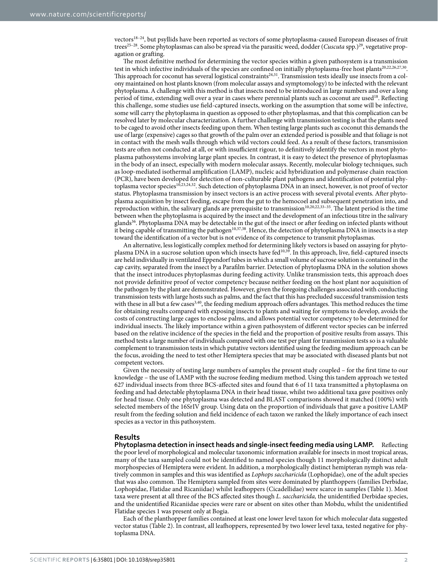vectors[18–24](#page-7-13), but psyllids have been reported as vectors of some phytoplasma-caused European diseases of fruit trees[25–28.](#page-8-0) Some phytoplasmas can also be spread via the parasitic weed, dodder (*Cuscuta* spp.)[29](#page-8-1), vegetative propagation or grafting.

The most definitive method for determining the vector species within a given pathosystem is a transmission test in which infective individuals of the species are confined on initially phytoplasma-free host plants<sup>20,[22,](#page-8-3)[26,](#page-8-4)[27,](#page-8-5)30</sup>. This approach for coconut has several logistical constraints $24,31$ . Transmission tests ideally use insects from a colony maintained on host plants known (from molecular assays and symptomology) to be infected with the relevant phytoplasma. A challenge with this method is that insects need to be introduced in large numbers and over a long period of time, extending well over a year in cases where perennial plants such as coconut are used[18](#page-7-13). Reflecting this challenge, some studies use field-captured insects, working on the assumption that some will be infective, some will carry the phytoplasma in question as opposed to other phytoplasmas, and that this complication can be resolved later by molecular characterization. A further challenge with transmission testing is that the plants need to be caged to avoid other insects feeding upon them. When testing large plants such as coconut this demands the use of large (expensive) cages so that growth of the palm over an extended period is possible and that foliage is not in contact with the mesh walls through which wild vectors could feed. As a result of these factors, transmission tests are often not conducted at all, or with insufficient rigour, to definitively identify the vectors in most phytoplasma pathosystems involving large plant species. In contrast, it is easy to detect the presence of phytoplasmas in the body of an insect, especially with modern molecular assays. Recently, molecular biology techniques, such as loop-mediated isothermal amplification (LAMP), nucleic acid hybridization and polymerase chain reaction (PCR), have been developed for detection of non-culturable plant pathogens and identification of potential phy-toplasma vector species<sup>10[,23](#page-8-9)[,24](#page-8-7),32</sup>. Such detection of phytoplasma DNA in an insect, however, is not proof of vector status. Phytoplasma transmission by insect vectors is an active process with several pivotal events. After phytoplasma acquisition by insect feeding, escape from the gut to the hemocoel and subsequent penetration into, and reproduction within, the salivary glands are prerequisite to transmission<sup>[10](#page-7-7),[20](#page-8-2)[,22](#page-8-3),33–35</sup>. The latent period is the time between when the phytoplasma is acquired by the insect and the development of an infectious titre in the salivary glands<sup>36</sup>. Phytoplasma DNA may be detectable in the gut of the insect or after feeding on infected plants without it being capable of transmitting the pathogen<sup>10,[37,](#page-8-13)38</sup>. Hence, the detection of phytoplasma DNA in insects is a step toward the identification of a vector but is not evidence of its competence to transmit phytoplasmas.

An alternative, less logistically complex method for determining likely vectors is based on assaying for phytoplasma DNA in a sucrose solution upon which insects have fe[d10](#page-7-7)[,39](#page-8-15). In this approach, live, field-captured insects are held individually in ventilated Eppendorf tubes in which a small volume of sucrose solution is contained in the cap cavity, separated from the insect by a Parafilm barrier. Detection of phytoplasma DNA in the solution shows that the insect introduces phytoplasmas during feeding activity. Unlike transmission tests, this approach does not provide definitive proof of vector competency because neither feeding on the host plant nor acquisition of the pathogen by the plant are demonstrated. However, given the foregoing challenges associated with conducting transmission tests with large hosts such as palms, and the fact that this has precluded successful transmission tests with these in all but a few cases<sup>3,40</sup>, the feeding medium approach offers advantages. This method reduces the time for obtaining results compared with exposing insects to plants and waiting for symptoms to develop, avoids the costs of constructing large cages to enclose palms, and allows potential vector competency to be determined for individual insects. The likely importance within a given pathosystem of different vector species can be inferred based on the relative incidence of the species in the field and the proportion of positive results from assays. This method tests a large number of individuals compared with one test per plant for transmission tests so is a valuable complement to transmission tests in which putative vectors identified using the feeding medium approach can be the focus, avoiding the need to test other Hemiptera species that may be associated with diseased plants but not competent vectors.

Given the necessity of testing large numbers of samples the present study coupled – for the first time to our knowledge – the use of LAMP with the sucrose feeding medium method. Using this tandem approach we tested 627 individual insects from three BCS-affected sites and found that 6 of 11 taxa transmitted a phytoplasma on feeding and had detectable phytoplasma DNA in their head tissue, whilst two additional taxa gave positives only for head tissue. Only one phytoplasma was detected and BLAST comparisons showed it matched (100%) with selected members of the 16SrIV group. Using data on the proportion of individuals that gave a positive LAMP result from the feeding solution and field incidence of each taxon we ranked the likely importance of each insect species as a vector in this pathosystem.

#### **Results**

**Phytoplasma detection in insect heads and single-insect feeding media using LAMP.** Reflecting the poor level of morphological and molecular taxonomic information available for insects in most tropical areas, many of the taxa sampled could not be identified to named species though 11 morphologically distinct adult morphospecies of Hemiptera were evident. In addition, a morphologically distinct hemipteran nymph was relatively common in samples and this was identified as *Lophops saccharicida* (Lophopidae), one of the adult species that was also common. The Hemiptera sampled from sites were dominated by planthoppers (families Derbidae, Lophopidae, Flatidae and Ricaniidae) whilst leafhoppers (Cicadellidae) were scarce in samples ([Table 1\)](#page-2-0). Most taxa were present at all three of the BCS affected sites though *L. saccharicida,* the unidentified Derbidae species, and the unidentified Ricaniidae species were rare or absent on sites other than Mobdu, whilst the unidentified Flatidae species 1 was present only at Bogia.

Each of the planthopper families contained at least one lower level taxon for which molecular data suggested vector status [\(Table 2\)](#page-2-1). In contrast, all leafhoppers, represented by two lower level taxa, tested negative for phytoplasma DNA.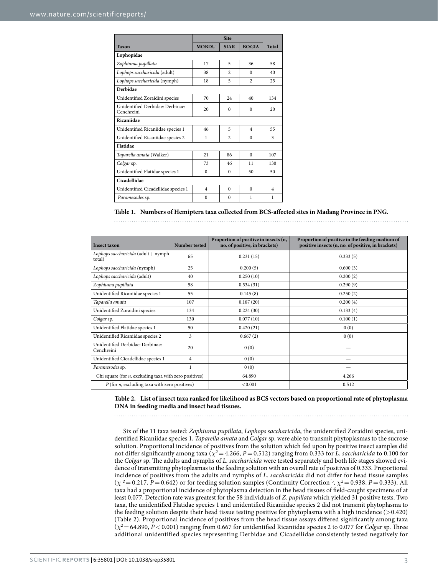<span id="page-2-0"></span>

|                                                | <b>Site</b>    |                |                |                |
|------------------------------------------------|----------------|----------------|----------------|----------------|
| Taxon                                          | <b>MOBDU</b>   | <b>SIAR</b>    | <b>BOGIA</b>   | <b>Total</b>   |
| Lophopidae                                     |                |                |                |                |
| Zophiuma pupillata                             | 17             | 5              | 36             | 58             |
| Lophops saccharicida (adult)                   | 38             | $\mathfrak{D}$ | $\Omega$       | 40             |
| Lophops saccharicida (nymph)                   | 18             | 5              | $\overline{c}$ | 25             |
| Derbidae                                       |                |                |                |                |
| Unidentified Zoraidini species                 | 70             | 24             | 40             | 134            |
| Unidentified Derbidae: Derbinae:<br>Cenchreini | 20             | $\Omega$       | $\Omega$       | 20             |
| Ricaniidae                                     |                |                |                |                |
| Unidentified Ricaniidae species 1              | 46             | 5              | $\overline{4}$ | 55             |
| Unidentified Ricaniidae species 2              | 1              | $\overline{c}$ | $\Omega$       | 3              |
| Flatidae                                       |                |                |                |                |
| Taparella amata (Walker)                       | 21             | 86             | $\Omega$       | 107            |
| Colgar sp.                                     | 73             | 46             | 11             | 130            |
| Unidentified Flatidae species 1                | $\mathbf{0}$   | $\Omega$       | 50             | 50             |
| Cicadellidae                                   |                |                |                |                |
| Unidentified Cicadellidae species 1            | $\overline{4}$ | $\Omega$       | $\Omega$       | $\overline{4}$ |
| Paramesodes sp.                                | $\theta$       | $\Omega$       | 1              | 1              |

**Table 1. Numbers of Hemiptera taxa collected from BCS-affected sites in Madang Province in PNG.**

<span id="page-2-1"></span>

| <b>Insect taxon</b>                                              | Number tested  | Proportion of positive in insects (n,<br>no. of positive, in brackets) | Proportion of positive in the feeding medium of<br>positive insects (n, no. of positive, in brackets) |
|------------------------------------------------------------------|----------------|------------------------------------------------------------------------|-------------------------------------------------------------------------------------------------------|
| $Lophops\,saccharicida\,(\text{adult} + \text{nymph})$<br>total) | 65             | 0.231(15)                                                              | 0.333(5)                                                                                              |
| Lophops saccharicida (nymph)                                     | 25             | 0.200(5)                                                               | 0.600(3)                                                                                              |
| Lophops saccharicida (adult)                                     | 40             | 0.250(10)                                                              | 0.200(2)                                                                                              |
| Zophiuma pupillata                                               | 58             | 0.534(31)                                                              | 0.290(9)                                                                                              |
| Unidentified Ricaniidae species 1                                | 55             | 0.145(8)                                                               | 0.250(2)                                                                                              |
| Taparella amata                                                  | 107            | 0.187(20)                                                              | 0.200(4)                                                                                              |
| Unidentified Zoraidini species                                   | 134            | 0.224(30)                                                              | 0.133(4)                                                                                              |
| Colgar sp.                                                       | 130            | 0.077(10)                                                              | 0.100(1)                                                                                              |
| Unidentified Flatidae species 1                                  | 50             | 0.420(21)                                                              | 0(0)                                                                                                  |
| Unidentified Ricaniidae species 2                                | 3              | 0.667(2)                                                               | 0(0)                                                                                                  |
| Unidentified Derbidae: Derbinae:<br>Cenchreini                   | 20             | 0(0)                                                                   |                                                                                                       |
| Unidentified Cicadellidae species 1                              | $\overline{4}$ | 0(0)                                                                   |                                                                                                       |
| Paramesodes sp.                                                  | $\mathbf{1}$   | 0(0)                                                                   |                                                                                                       |
| Chi square (for $n$ , excluding taxa with zero positives)        |                | 64.890                                                                 | 4.266                                                                                                 |
| $P$ (for <i>n</i> , excluding taxa with zero positives)          |                | < 0.001                                                                | 0.512                                                                                                 |

**Table 2. List of insect taxa ranked for likelihood as BCS vectors based on proportional rate of phytoplasma DNA in feeding media and insect head tissues.**

Six of the 11 taxa tested: *Zophiuma pupillata*, *Lophops saccharicida*, the unidentified Zoraidini species, unidentified Ricaniidae species 1, *Taparella amata* and *Colgar* sp. were able to transmit phytoplasmas to the sucrose solution. Proportional incidence of positives from the solution which fed upon by positive insect samples did not differ significantly among taxa ( $\chi^2$  = 4.266, *P* = 0.512) ranging from 0.333 for *L. saccharicida* to 0.100 for the *Colgar* sp. The adults and nymphs of *L. saccharicida* were tested separately and both life stages showed evidence of transmitting phytoplasmas to the feeding solution with an overall rate of positives of 0.333. Proportional incidence of positives from the adults and nymphs of *L. saccharicida* did not differ for head tissue samples  $(\chi^2 = 0.217, P = 0.642)$  or for feeding solution samples (Continuity Correction b,  $\chi^2 = 0.938, P = 0.333$ ). All taxa had a proportional incidence of phytoplasma detection in the head tissues of field-caught specimens of at least 0.077. Detection rate was greatest for the 58 individuals of *Z. pupillata* which yielded 31 positive tests. Two taxa, the unidentified Flatidae species 1 and unidentified Ricaniidae species 2 did not transmit phytoplasma to the feeding solution despite their head tissue testing positive for phytoplasma with a high incidence ( $\geq$ 0.420) ([Table 2\)](#page-2-1). Proportional incidence of positives from the head tissue assays differed significantly among taxa  $(\chi^2 = 64.890, P < 0.001)$  ranging from 0.667 for unidentified Ricaniidae species 2 to 0.077 for *Colgar* sp. Three additional unidentified species representing Derbidae and Cicadellidae consistently tested negatively for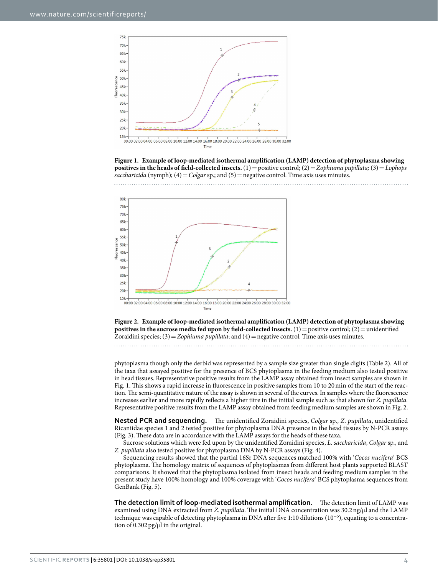

00:00 02:00 04:00 06:00 08:00 10:00 12:00 14:00 16:00 18:00 20:00 22:00 24:00 26:00 28:00 30:00 32:00 Time

<span id="page-3-0"></span>



00:00 02:00 04:00 06:00 08:00 10:00 12:00 14:00 16:00 18:00 20:00 22:00 24:00 26:00 28:00 30:00 32:00

<span id="page-3-1"></span>**Figure 2. Example of loop-mediated isothermal amplification (LAMP) detection of phytoplasma showing positives in the sucrose media fed upon by field-collected insects.**  $(1)$  = positive control;  $(2)$  = unidentified Zoraidini species;  $(3)$  = Zophiuma pupillata; and  $(4)$  = negative control. Time axis uses minutes.

phytoplasma though only the derbid was represented by a sample size greater than single digits ([Table 2](#page-2-1)). All of the taxa that assayed positive for the presence of BCS phytoplasma in the feeding medium also tested positive in head tissues. Representative positive results from the LAMP assay obtained from insect samples are shown in [Fig. 1.](#page-3-0) This shows a rapid increase in fluorescence in positive samples from 10 to 20min of the start of the reaction. The semi-quantitative nature of the assay is shown in several of the curves. In samples where the fluorescence increases earlier and more rapidly reflects a higher titre in the initial sample such as that shown for *Z. pupillata*. Representative positive results from the LAMP assay obtained from feeding medium samples are shown in [Fig. 2.](#page-3-1)

**Nested PCR and sequencing.** The unidentified Zoraidini species, *Colgar* sp*., Z. pupillata*, unidentified Ricaniidae species 1 and 2 tested positive for phytoplasma DNA presence in the head tissues by N-PCR assays ([Fig. 3](#page-4-0)). These data are in accordance with the LAMP assays for the heads of these taxa.

Sucrose solutions which were fed upon by the unidentified Zoraidini species, *L. saccharicida*, *Colgar* sp., and *Z. pupillata* also tested positive for phytoplasma DNA by N-PCR assays ([Fig. 4](#page-4-1)).

Sequencing results showed that the partial 16Sr DNA sequences matched 100% with '*Cocos nucifera*' BCS phytoplasma. The homology matrix of sequences of phytoplasmas from different host plants supported BLAST comparisons. It showed that the phytoplasma isolated from insect heads and feeding medium samples in the present study have 100% homology and 100% coverage with '*Cocos nucifera*' BCS phytoplasma sequences from GenBank ([Fig. 5](#page-5-0)).

**The detection limit of loop-mediated isothermal amplification.** The detection limit of LAMP was examined using DNA extracted from *Z. pupillata*. The initial DNA concentration was 30.2ng/μl and the LAMP technique was capable of detecting phytoplasma in DNA after five 1:10 dilutions (10<sup>−</sup><sup>5</sup> ), equating to a concentration of 0.302pg/μl in the original.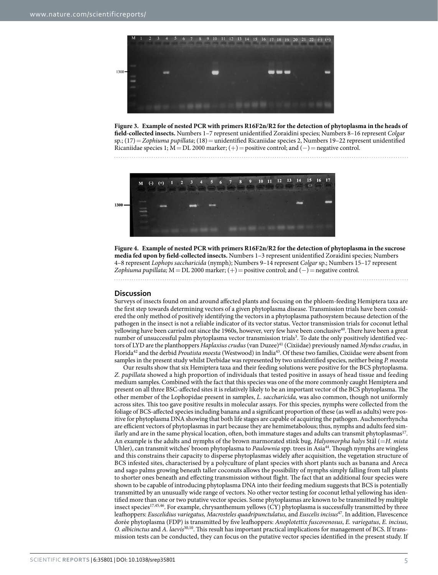

<span id="page-4-0"></span>



<span id="page-4-1"></span>**Figure 4. Example of nested PCR with primers R16F2n/R2 for the detection of phytoplasma in the sucrose media fed upon by field-collected insects.** Numbers 1–3 represent unidentified Zoraidini species; Numbers 4–8 represent *Lophops saccharicida* (nymph); Numbers 9–14 represent *Colgar* sp.; Numbers 15–17 represent *Zophiuma pupillata;*  $M = DL$  2000 marker;  $(+)$  = positive control; and  $(-)$  = negative control.

#### **Discussion**

Surveys of insects found on and around affected plants and focusing on the phloem-feeding Hemiptera taxa are the first step towards determining vectors of a given phytoplasma disease. Transmission trials have been considered the only method of positively identifying the vectors in a phytoplasma pathosystem because detection of the pathogen in the insect is not a reliable indicator of its vector status. Vector transmission trials for coconut lethal yellowing have been carried out since the 1960s, however, very few have been conclusive<sup>40</sup>. There have been a great number of unsuccessful palm phytoplasma vector transmission trials<sup>3</sup>. To date the only positively identified vectors of LYD are the planthoppers *Haplaxius crudus* (van Duzee[\)41](#page-8-17) (Cixiidae) previously named *Myndus crudus*, in Florid[a42](#page-8-18) and the derbid *Proutista moesta* (Westwood) in Indi[a43.](#page-8-19) Of these two families, Cixiidae were absent from samples in the present study whilst Derbidae was represented by two unidentified species, neither being *P. moesta*

Our results show that six Hemiptera taxa and their feeding solutions were positive for the BCS phytoplasma. *Z. pupillata* showed a high proportion of individuals that tested positive in assays of head tissue and feeding medium samples. Combined with the fact that this species was one of the more commonly caught Hemiptera and present on all three BSC-affected sites it is relatively likely to be an important vector of the BCS phytoplasma. The other member of the Lophopidae present in samples, *L. saccharicida,* was also common, though not uniformly across sites. This too gave positive results in molecular assays. For this species, nymphs were collected from the foliage of BCS-affected species including banana and a significant proportion of these (as well as adults) were positive for phytoplasma DNA showing that both life stages are capable of acquiring the pathogen. Auchenorrhyncha are efficient vectors of phytoplasmas in part because they are hemimetabolous; thus, nymphs and adults feed similarly and are in the same physical location, often, both immature stages and adults can transmit phytoplasmas<sup>17</sup>. An example is the adults and nymphs of the brown marmorated stink bug, *Halyomorpha halys* Stål (=*H. mista* Uhler), can transmit witches' broom phytoplasma to *Paulownia* spp. trees in Asi[a44.](#page-8-20) Though nymphs are wingless and this constrains their capacity to disperse phytoplasmas widely after acquisition, the vegetation structure of BCS infested sites, characterised by a polyculture of plant species with short plants such as banana and Areca and sago palms growing beneath taller coconuts allows the possibility of nymphs simply falling from tall plants to shorter ones beneath and effecting transmission without flight. The fact that an additional four species were shown to be capable of introducing phytoplasma DNA into their feeding medium suggests that BCS is potentially transmitted by an unusually wide range of vectors. No other vector testing for coconut lethal yellowing has identified more than one or two putative vector species. Some phytoplasmas are known to be transmitted by multiple insect species<sup>[17](#page-7-12),[45](#page-8-21),[46](#page-8-22)</sup>. For example, chrysanthemum yellows (CY) phytoplasma is successfully transmitted by three leafhoppers: *Euscelidius variegatus, Macrosteles quadripunctulatus,* and *Euscelis incisus*[47](#page-8-23). In addition, Flavescence dorée phytoplasma (FDP) is transmitted by five leafhoppers: *Anoplotettix fuscovenosus*, *E. variegatus*, *E. incisus*, *O. albicinctus* and *A. laevis*[30,](#page-8-6)[10.](#page-7-7) This result has important practical implications for management of BCS. If transmission tests can be conducted, they can focus on the putative vector species identified in the present study. If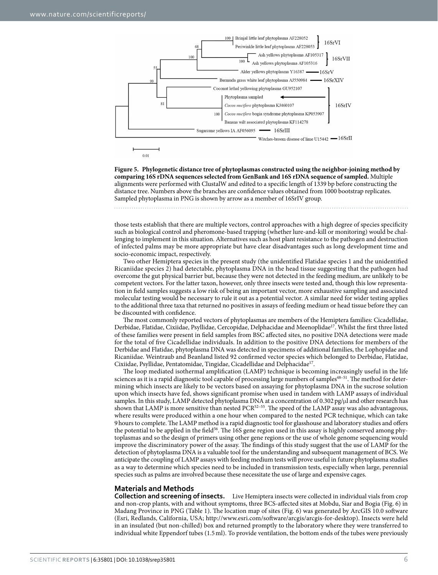

<span id="page-5-0"></span>**Figure 5. Phylogenetic distance tree of phytoplasmas constructed using the neighbor-joining method by comparing 16S rDNA sequences selected from GenBank and 16S rDNA sequence of sampled.** Multiple alignments were performed with ClustalW and edited to a specific length of 1339 bp before constructing the distance tree. Numbers above the branches are confidence values obtained from 1000 bootstrap replicates. Sampled phytoplasma in PNG is shown by arrow as a member of 16SrIV group.

those tests establish that there are multiple vectors, control approaches with a high degree of species specificity such as biological control and pheromone-based trapping (whether lure-and-kill or monitoring) would be challenging to implement in this situation. Alternatives such as host plant resistance to the pathogen and destruction of infected palms may be more appropriate but have clear disadvantages such as long development time and socio-economic impact, respectively.

Two other Hemiptera species in the present study (the unidentified Flatidae species 1 and the unidentified Ricaniidae species 2) had detectable, phytoplasma DNA in the head tissue suggesting that the pathogen had overcome the gut physical barrier but, because they were not detected in the feeding medium, are unlikely to be competent vectors. For the latter taxon, however, only three insects were tested and, though this low representation in field samples suggests a low risk of being an important vector, more exhaustive sampling and associated molecular testing would be necessary to rule it out as a potential vector. A similar need for wider testing applies to the additional three taxa that returned no positives in assays of feeding medium or head tissue before they can be discounted with confidence.

The most commonly reported vectors of phytoplasmas are members of the Hemiptera families: Cicadellidae, Derbidae, Flatidae, Cixiidae, Psyllidae, Cercopidae, Delphacidae and Meenoplidae[17](#page-7-12). Whilst the first three listed of these families were present in field samples from BSC affected sites, no positive DNA detections were made for the total of five Cicadellidae individuals. In addition to the positive DNA detections for members of the Derbidae and Flatidae, phytoplasma DNA was detected in specimens of additional families, the Lophopidae and Ricaniidae. Weintraub and Beanland listed 92 confirmed vector species which belonged to Derbidae, Flatidae, Cixiidae, Psyllidae, Pentatomidae, Tingidae, Cicadellidae and Delphacidae<sup>17</sup>.

The loop mediated isothermal amplification (LAMP) technique is becoming increasingly useful in the life sciences as it is a rapid diagnostic tool capable of processing large numbers of samples<sup>48–51</sup>. The method for determining which insects are likely to be vectors based on assaying for phytoplasma DNA in the sucrose solution upon which insects have fed, shows significant promise when used in tandem with LAMP assays of individual samples. In this study, LAMP detected phytoplasma DNA at a concentration of 0.302 pg/ $\mu$ l and other research has shown that LAMP is more sensitive than nested  $PCR^{52-55}$ . The speed of the LAMP assay was also advantageous, where results were produced within a one hour when compared to the nested PCR technique, which can take 9hours to complete. The LAMP method is a rapid diagnostic tool for glasshouse and laboratory studies and offers the potential to be applied in the field<sup>[56](#page-8-26)</sup>. The 16S gene region used in this assay is highly conserved among phytoplasmas and so the design of primers using other gene regions or the use of whole genome sequencing would improve the discriminatory power of the assay. The findings of this study suggest that the use of LAMP for the detection of phytoplasma DNA is a valuable tool for the understanding and subsequent management of BCS. We anticipate the coupling of LAMP assays with feeding medium tests will prove useful in future phytoplasma studies as a way to determine which species need to be included in transmission tests, especially when large, perennial species such as palms are involved because these necessitate the use of large and expensive cages.

#### **Materials and Methods**

**Collection and screening of insects.** Live Hemiptera insects were collected in individual vials from crop and non-crop plants, with and without symptoms, three BCS-affected sites at Mobdu, Siar and Bogia [\(Fig. 6](#page-6-0)) in Madang Province in PNG ([Table 1](#page-2-0)). The location map of sites [\(Fig. 6\)](#page-6-0) was generated by ArcGIS 10.0 software (Esri, Redlands, California, USA; [http://www.esri.com/software/arcgis/arcgis-for-desktop\)](http://www.esri.com/software/arcgis/arcgis-for-desktop). Insects were held in an insulated (but non-chilled) box and returned promptly to the laboratory where they were transferred to individual white Eppendorf tubes (1.5ml). To provide ventilation, the bottom ends of the tubes were previously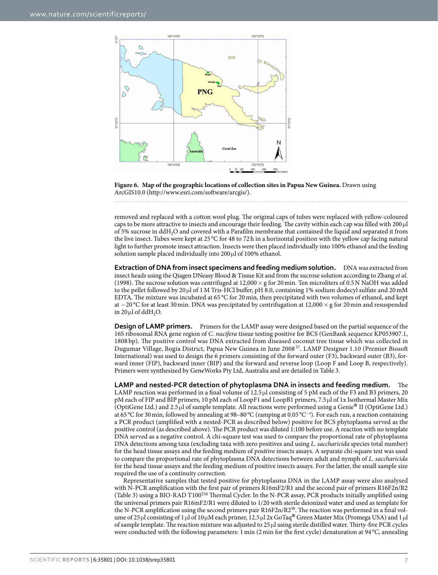

<span id="page-6-0"></span>**Figure 6. Map of the geographic locations of collection sites in Papua New Guinea.** Drawn using ArcGIS10.0 ([http://www.esri.com/software/arcgis/\)](http://www.esri.com/software/arcgis/).

removed and replaced with a cotton wool plug. The original caps of tubes were replaced with yellow-coloured caps to be more attractive to insects and encourage their feeding. The cavity within each cap was filled with 200μl of 5% sucrose in ddH2O and covered with a Parafilm membrane that contained the liquid and separated it from the live insect. Tubes were kept at 25 °C for 48 to 72h in a horizontal position with the yellow cap facing natural light to further promote insect attraction. Insects were then placed individually into 100% ethanol and the feeding solution sample placed individually into 200μl of 100% ethanol.

**Extraction of DNA from insect specimens and feeding medium solution.** DNA was extracted from insect heads using the Qiagen DNeasy Blood & Tissue Kit and from the sucrose solution according to Zhang *et al.* (1998). The sucrose solution was centrifuged at 12,000  $\times$  g for 20 min. Ten microliters of 0.5 N NaOH was added to the pellet followed by 20 μl of 1M Tris-HCl buffer, pH 8.0, containing 1% sodium dodecyl sulfate and 20mM EDTA. The mixture was incubated at 65 °C for 20min, then precipitated with two volumes of ethanol, and kept at  $-20$  °C for at least 30 min. DNA was precipitated by centrifugation at 12,000  $\times$  g for 20 min and resuspended in  $20 \mu l$  of ddH<sub>2</sub>O.

**Design of LAMP primers.** Primers for the LAMP assay were designed based on the partial sequence of the 16S ribosomal RNA gene region of *C. nucifera* tissue testing positive for BCS (GenBank sequence KP053907.1, 1808 bp). The positive control was DNA extracted from diseased coconut tree tissue which was collected in Dugumar Village, Bogia District, Papua New Guinea in June 2008 [57.](#page-8-27) LAMP Designer 1.10 (Premier Biosoft International) was used to design the 6 primers consisting of the forward outer (F3), backward outer (B3), forward inner (FIP), backward inner (BIP) and the forward and reverse loop (Loop F and Loop B, respectively). Primers were synthesized by GeneWorks Pty Ltd, Australia and are detailed in [Table 3](#page-7-15).

**LAMP and nested-PCR detection of phytoplasma DNA in insects and feeding medium.** The LAMP reaction was performed in a final volume of 12.5μl consisting of 5 pM each of the F3 and B3 primers, 20 pM each of FIP and BIP primers, 10 pM each of LoopF1 and LoopB1 primers, 7.5μl of 1x Isothermal Master Mix (OptiGene Ltd.) and 2.5 <sup>μ</sup>l of sample template. All reactions were performed using a Genie® II (OptiGene Ltd.) at 65 °C for 30min, followed by annealing at 98–80 °C (ramping at 0.05 °C<sup>−</sup><sup>s</sup> ). For each run, a reaction containing a PCR product (amplified with a nested-PCR as described below) positive for BCS phytoplasma served as the positive control (as described above). The PCR product was diluted 1:100 before use. A reaction with no template DNA served as a negative control. A chi-square test was used to compare the proportional rate of phytoplasma DNA detections among taxa (excluding taxa with zero positives and using *L. saccharicida* species total number) for the head tissue assays and the feeding medium of positive insects assays. A separate chi-square test was used to compare the proportional rate of phytoplasma DNA detections between adult and nymph of *L. saccharicida* for the head tissue assays and the feeding medium of positive insects assays. For the latter, the small sample size required the use of a continuity correction.

Representative samples that tested positive for phytoplasma DNA in the LAMP assay were also analysed with N-PCR amplification with the first pair of primers R16mF2/R1 and the second pair of primers R16F2n/R2 ([Table 3](#page-7-15)) using a BIO-RAD T100TM Thermal Cycler. In the N-PCR assay, PCR products initially amplified using the universal primers pair R16mF2/R1 were diluted to 1/20 with sterile deionized water and used as template for the N-PCR amplification using the second primers pair R16F2n/R2<sup>[58](#page-8-28)</sup>. The reaction was performed in a final volume of 25μl consisting of 1μl of 10μM each primer, 12.5<sup>μ</sup>l 2x GoTaq® Green Master Mix (Promega USA) and 1<sup>μ</sup><sup>l</sup> of sample template. The reaction mixture was adjusted to 25μl using sterile distilled water. Thirty-five PCR cycles were conducted with the following parameters: 1 min (2 min for the first cycle) denaturation at 94 °C, annealing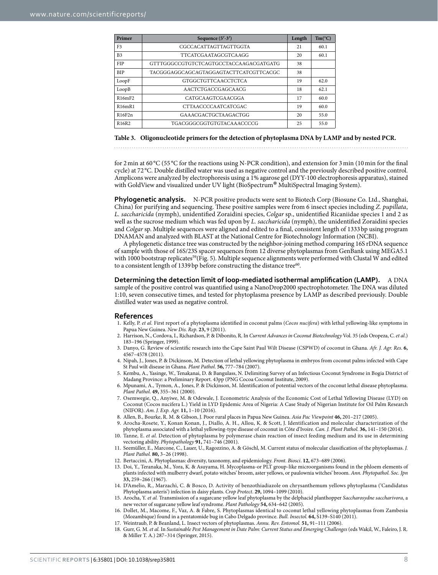<span id="page-7-15"></span>

| Primer                         | Sequence $(5' - 3')$                   |    | $Tm(^{\circ}C)$ |
|--------------------------------|----------------------------------------|----|-----------------|
| F <sub>3</sub>                 | <b>CGCCACATTAGTTAGTTGGTA</b>           | 21 | 60.1            |
| B <sub>3</sub>                 | TTCATCGAATAGCGTCAAGG                   | 20 | 60.1            |
| <b>FIP</b>                     | GTTTGGGCCGTGTCTCAGTGCCTACCAAGACGATGATG | 38 |                 |
| <b>BIP</b>                     | TACGGGAGGCAGCAGTAGGAGTACTTCATCGTTCACGC | 38 |                 |
| LoopF                          | GTGGCTGTTCAACCTCTCA                    | 19 | 62.0            |
| LoopB                          | AACTCTGACCGAGCAACG                     | 18 | 62.1            |
| R16mF2                         | CATGCA AGTCGA ACGGA                    | 17 | 60.0            |
| R16mR1                         | CTTA ACCCCA ATCATCGAC                  | 19 | 60.0            |
| R16F2n                         | GAAACGACTGCTAAGACTGG                   | 20 | 55.0            |
| R <sub>16</sub> R <sub>2</sub> | TGACGGGCGGTGTGTACAAACCCCG              | 25 | 55.0            |

#### **Table 3. Oligonucleotide primers for the detection of phytoplasma DNA by LAMP and by nested PCR.**

for 2min at 60 °C (55 °C for the reactions using N-PCR condition), and extension for 3min (10min for the final cycle) at 72 °C. Double distilled water was used as negative control and the previously described positive control. Amplicons were analyzed by electrophoresis using a 1% agarose gel (DYY-100 electrophoresis apparatus), stained with GoldView and visualized under UV light (BioSpectrum® MultiSpectral Imaging System).

**Phylogenetic analysis.** N-PCR positive products were sent to Biotech Corp (Biosune Co. Ltd., Shanghai, China) for purifying and sequencing. These positive samples were from 6 insect species including *Z. pupillata*, *L. saccharicida* (nymph), unidentified Zoraidini species, *Colgar* sp., unidentified Ricaniidae species 1 and 2 as well as the sucrose medium which was fed upon by *L. saccharicida* (nymph), the unidentified Zoraidini species and *Colgar* sp. Multiple sequences were aligned and edited to a final, consistent length of 1333 bp using program DNAMAN and analyzed with BLAST at the National Centre for Biotechnology Information (NCBI).

A phylogenetic distance tree was constructed by the neighbor-joining method comparing 16S rDNA sequence of sample with those of 16S/23S spacer sequences from 12 diverse phytoplasmas from GenBank using MEGA5.1 with 1000 bootstrap replicates<sup>[59](#page-9-0)</sup>[\(Fig. 5\)](#page-5-0). Multiple sequence alignments were performed with Clustal W and edited to a consistent length of 1339 bp before constructing the distance tree<sup>[60](#page-9-1)</sup>.

**Determining the detection limit of loop-mediated isothermal amplification (LAMP).** A DNA sample of the positive control was quantified using a NanoDrop2000 spectrophotometer. The DNA was diluted 1:10, seven consecutive times, and tested for phytoplasma presence by LAMP as described previously. Double distilled water was used as negative control.

#### **References**

- <span id="page-7-0"></span>1. Kelly, P. *et al.* First report of a phytoplasma identified in coconut palms (*Cocos nucifera*) with lethal yellowing-like symptoms in Papua New Guinea. *New Dis. Rep*. **23,** 9 (2011).
- <span id="page-7-1"></span>2. Harrison, N., Cordova, I., Richardson, P. & Dibonito, R. In *Current Advances in Coconut Biotechnology* Vol. 35 (eds Oropeza, C. *et al*.) 183–196 (Springer, 1999).
- <span id="page-7-14"></span>3. Danyo, G. Review of scientific research into the Cape Saint Paul Wilt Disease (CSPWD) of coconut in Ghana. *Afr. J. Agr. Res*. **6,** 4567–4578 (2011).
- 4. Nipah, J., Jones, P. & Dickinson, M. Detection of lethal yellowing phytoplasma in embryos from coconut palms infected with Cape St Paul wilt disease in Ghana. *Plant Pathol*. **56,** 777–784 (2007).
- <span id="page-7-2"></span>5. Kembu, A., Yasinge, W., Tenakanai, D. & Bangulass, N. Delimiting Survey of an Infectious Coconut Syndrome in Bogia District of Madang Province: a Preliminary Report. 43pp (PNG Cocoa Coconut Institute, 2009).
- <span id="page-7-3"></span>6. Mpunami, A., Tymon, A., Jones, P. & Dickinson, M. Identification of potential vectors of the coconut lethal disease phytoplasma. *Plant Pathol*. **49,** 355–361 (2000).
- <span id="page-7-4"></span>7. Osemwegie, Q., Anyiwe, M. & Odewale, J. Econometric Analysis of the Economic Cost of Lethal Yellowing Disease (LYD) on Coconut (Cocos nucifera L.) Yield in LYD Epidemic Area of Nigeria: A Case Study of Nigerian Institute for Oil Palm Research (NIFOR). *Am. J. Exp. Agr.* **11,** 1–10 (2016).
- <span id="page-7-5"></span>8. Allen, B., Bourke, R. M. & Gibson, J. Poor rural places in Papua New Guinea. *Asia Pac Viewpoint* **46,** 201–217 (2005).
- <span id="page-7-6"></span>Arocha-Rosete, Y., Konan Konan, J., Diallo, A. H., Allou, K. & Scott, J. Identification and molecular characterization of the phytoplasma associated with a lethal yellowing-type disease of coconut in Côte d'Ivoire. *Can. J. Plant Pathol.* **36,** 141–150 (2014).
- <span id="page-7-7"></span>10. Tanne, E. *et al.* Detection of phytoplasma by polymerase chain reaction of insect feeding medium and its use in determining vectoring ability. *Phytopathology* 91, 741-746 (2001).
- 11. Seemüller, E., Marcone, C., Lauer, U., Ragozzino, A. & Göschl, M. Current status of molecular classification of the phytoplasmas. *J. Plant Pathol.* **80,** 3–26 (1998).
- 12. Bertaccini, A. Phytoplasmas: diversity, taxonomy, and epidemiology. *Front. Biosci*. **12,** 673–689 (2006).
- <span id="page-7-8"></span>13. Doi, Y., Teranaka, M., Yora, K. & Asuyama, H. Mycoplasma-or PLT group-like microorganisms found in the phloem elements of plants infected with mulberry dwarf, potato witches' broom, aster yellows, or paulownia witches' broom. *Ann. Phytopathol. Soc. Jpn* **33,** 259–266 (1967).
- <span id="page-7-9"></span>14. D'Amelio, R., Marzachì, C. & Bosco, D. Activity of benzothiadiazole on chrysanthemum yellows phytoplasma ('Candidatus Phytoplasma asteris') infection in daisy plants. *Crop Protect*. **29,** 1094–1099 (2010).
- <span id="page-7-10"></span>15. Arocha, Y. *et al.* Transmission of a sugarcane yellow leaf phytoplasma by the delphacid planthopper *Saccharosydne saccharivora*, a new vector of sugarcane yellow leaf syndrome. *Plant Pathology* **54,** 634–642 (2005).
- <span id="page-7-11"></span>16. Dollet, M., Macome, F., Vaz, A. & Fabre, S. Phytoplasmas identical to coconut lethal yellowing phytoplasmas from Zambesia (Mozambique) found in a pentatomide bug in Cabo Delgado province. *Bull. Insectol.* **64,** S139–S140 (2011).
- <span id="page-7-12"></span>17. Weintraub, P. & Beanland, L. Insect vectors of phytoplasmas. *Annu. Rev. Entomol.* **51,** 91–111 (2006).
- <span id="page-7-13"></span>18. Gurr, G. M. *et al.* In *Sustainable Pest Management in Date Palm: Current Status and Emerging Challenges* (eds Wakil, W., Faleiro, J. R. & Miller T. A.) 287–314 (Springer, 2015).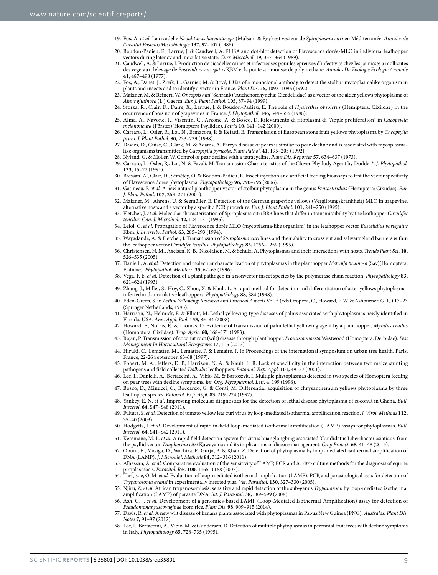- 19. Fos, A. *et al.* La cicadelle *Neoaliturus haematoceps* (Mulsant & Rey) est vecteur de *Spiroplasma citri* en Méditerranée. *Annales de l'Institut Pasteur/Microbiologie* **137,** 97–107 (1986).
- <span id="page-8-2"></span>20. Boudon-Padieu, E., Larrue, J. & Caudwell, A. ELISA and dot-blot detection of Flavescence dorée-MLO in individual leafhopper vectors during latency and inoculative state. *Curr. Microbiol.* **19,** 357–364 (1989).
- 21. Caudwell, A. & Larrue, J. Production de cicadelles saines et infectieuses pour les epreuves d'infectivite chez les jaunisses a mollicutes des vegetaux. l'elevage de *Euscelidius variegatus* KBM et la ponte sur mousse de polyurethane. *Annales De Zoologie Ecologie Animale* **41,** 487–498 (1977).
- <span id="page-8-3"></span>22. Fos, A., Danet, J., Zreik, L., Garnier, M. & Bové, J. Use of a monoclonal antibody to detect the stolbur mycoplasmalike organism in plants and insects and to identify a vector in France. *Plant Dis*. **76,** 1092–1096 (1992).
- <span id="page-8-9"></span>23. Maixner, M. & Reinert, W. *Oncopsis alni* (Schrank)(Auchenorrhyncha: Cicadellidae) as a vector of the alder yellows phytoplasma of *Alnus glutinosa* (L.) Gaertn. *Eur. J. Plant Pathol.* **105,** 87–94 (1999).
- <span id="page-8-7"></span>24. Sforza, R., Clair, D., Daire, X., Larrue, J. & Boudon‐Padieu, E. The role of *Hyalesthes obsoletus* (Hemiptera: Cixiidae) in the occurrence of bois noir of grapevines in France. *J. Phytopathol.* **146,** 549–556 (1998).
- <span id="page-8-0"></span>25. Alma, A., Navone, P., Visentin, C., Arzone, A. & Bosco, D. Rilevamento di fitoplasmi di "Apple proliferation" in *Cacopsylla melanoneura* (Förster)(Homoptera Psyllidae). *Petria* **10,** 141–142 (2000).
- <span id="page-8-4"></span>26. Carraro, L., Osler, R., Loi, N., Ermacora, P. & Refatti, E. Transmission of European stone fruit yellows phytoplasma by *Cacopsylla pruni*. *J. Plant Pathol.* **80,** 233–239 (1998).
- <span id="page-8-5"></span>27. Davies, D., Guise, C., Clark, M. & Adams, A. Parry's disease of pears is similar to pear decline and is associated with mycoplasma‐ like organisms transmitted by *Cacopsylla pyricola*. *Plant Pathol*. **41,** 195–203 (1992).
- <span id="page-8-1"></span>28. Nyland, G. & Moller, W. Control of pear decline with a tetracycline. *Plant Dis. Reporter* **57,** 634–637 (1973).
- 29. Carraro, L., Osler, R., Loi, N. & Favali, M. Transmission Characteristics of the Clover Phyllody Agent by Dodder\*. *J. Phytopathol.* **133,** 15–22 (1991).
- <span id="page-8-6"></span>30. Bressan, A., Clair, D., Sémétey, O. & Boudon-Padieu, E. Insect injection and artificial feeding bioassays to test the vector specificity of Flavescence dorée phytoplasma. *Phytopathology* **96,** 790–796 (2006).
- <span id="page-8-8"></span>31. Gatineau, F. *et al.* A new natural planthopper vector of stolbur phytoplasma in the genus *Pentastiridius* (Hemiptera: Cixiidae). *Eur. J. Plant Pathol*. **107,** 263–271 (2001).
- <span id="page-8-10"></span>32. Maixner, M., Ahrens, U. & Seemüller, E. Detection of the German grapevine yellows (Vergilbungskrankheit) MLO in grapevine, alternative hosts and a vector by a specific PCR procedure. *Eur. J. Plant Pathol.* **101,** 241–250 (1995).
- <span id="page-8-11"></span>33. Fletcher, J. *et al.* Molecular characterization of Spiroplasma citri BR3 lines that differ in transmissibility by the leafhopper *Circulifer tenellus*. *Can. J. Microbiol.* **42,** 124–131 (1996).
- 34. Lefol, C. *et al.* Propagation of Flavescence dorée MLO (mycoplasma-like organism) in the leafhopper vector *Euscelidius variegatus* Kbm. *J. Invertebr. Pathol.* **63,** 285–293 (1994).
- 35. Wayadande, A. & Fletcher, J. Transmission of *Spiroplasma citri* lines and their ability to cross gut and salivary gland barriers within the leafhopper vector *Circulifer tenellus*. *Phytopathology* **85,** 1256–1259 (1995).
- <span id="page-8-12"></span>36. Christensen, N. M., Axelsen, K. B., Nicolaisen, M. & Schulz, A. Phytoplasmas and their interactions with hosts. *Trends Plant Sci*. **10,** 526–535 (2005).
- <span id="page-8-13"></span>37. Danielli, A. *et al.* Detection and molecular characterization of phytoplasmas in the planthopper *Metcalfa pruinosa* (Say)(Homoptera: Flatidae). *Phytopathol. Mediterr*. **35,** 62–65 (1996).
- <span id="page-8-14"></span>38. Vega, F. E. *et al.* Detection of a plant pathogen in a nonvector insect species by the polymerase chain reaction. *Phytopathology* **83,** 621–624 (1993).
- <span id="page-8-15"></span>39. Zhang, J., Miller, S., Hoy, C., Zhou, X. & Nault, L. A rapid method for detection and differentiation of aster yellows phytoplasmainfected and-inoculative leafhoppers. *Phytopathology* **88,** S84 (1998).
- <span id="page-8-16"></span>40. Eden-Green, S. in *Lethal Yellowing: Research and Practical Aspects* Vol. 5 (eds Oropeza, C., Howard, F. W. & Ashburner, G. R.) 17–23 (Springer Netherlands, 1995).
- <span id="page-8-17"></span>41. Harrison, N., Helmick, E. & Elliott, M. Lethal yellowing‐type diseases of palms associated with phytoplasmas newly identified in Florida, USA. *Ann. Appl. Biol.* **153,** 85–94 (2008).
- <span id="page-8-18"></span>42. Howard, F., Norris, R. & Thomas, D. Evidence of transmission of palm lethal yellowing agent by a planthopper, *Myndus crudus* (Homoptera, Cixiidae). *Trop. Agric*. **60,** 168–171 (1983).
- <span id="page-8-19"></span>43. Rajan, P. Transmission of coconut root (wilt) disease through plant hopper, *Proutista moesta* Westwood (Homoptera: Derbidae). *Pest Management In Horticultural Ecosystems* **17,** 1–5 (2013).
- <span id="page-8-20"></span>44. Hiruki, C., Lemattre, M., Lemattre, P. & Lemaire, F. In Proceedings of the international symposium on urban tree health, Paris, France, 22-26 September, 63-68 (1997).
- <span id="page-8-21"></span>45. Ebbert, M. A., Jeffers, D. P., Harrison, N. A. & Nault, L. R. Lack of specificity in the interaction between two maize stunting pathogens and field collected *Dalbulus* leafhoppers. *Entomol. Exp. Appl.* **101,** 49–57 (2001).
- <span id="page-8-22"></span>46. Lee, I., Danielli, A., Bertaccini, A., Vibio, M. & Bartoszyk, I. Multiple phytoplasmas detected in two species of Homoptera feeding on pear trees with decline symptoms. *Int. Org. Mycoplasmol. Lett*. **4,** 199 (1996).
- <span id="page-8-23"></span>47. Bosco, D., Minucci, C., Boccardo, G. & Conti, M. Differential acquisition of chrysanthemum yellows phytoplasma by three leafhopper species. *Entomol. Exp. Appl.* **83,** 219–224 (1997).
- <span id="page-8-24"></span>48. Yankey, E. N. *et al.* Improving molecular diagnostics for the detection of lethal disease phytoplasma of coconut in Ghana. *Bull. Insectol*. **64,** S47–S48 (2011).
- 49. Fukuta, S. *et al.* Detection of tomato yellow leaf curl virus by loop-mediated isothermal amplification reaction. *J. Virol. Methods* **112,** 35–40 (2003).
- 50. Hodgetts, J. *et al.* Development of rapid in-field loop-mediated isothermal amplification (LAMP) assays for phytoplasmas. *Bull. Insectol.* **64,** S41–S42 (2011).
- 51. Keremane, M. L. *et al.* A rapid field detection system for citrus huanglongbing associated 'Candidatus Liberibacter asiaticus' from the psyllid vector, *Diaphorina citri* Kuwayama and its implications in disease management. *Crop Protect*. **68,** 41–48 (2015).
- <span id="page-8-25"></span>52. Obura, E., Masiga, D., Wachira, F., Gurja, B. & Khan, Z. Detection of phytoplasma by loop-mediated isothermal amplification of DNA (LAMP). *J. Microbiol. Methods* **84,** 312–316 (2011).
- 53. Alhassan, A. *et al.* Comparative evaluation of the sensitivity of LAMP, PCR and *in vitro* culture methods for the diagnosis of equine piroplasmosis. *Parasitol. Res*. **100,** 1165–1168 (2007).
- 54. Thekisoe, O. M. *et al.* Evaluation of loop-mediated isothermal amplification (LAMP), PCR and parasitological tests for detection of *Trypanosoma evansi* in experimentally infected pigs. *Vet. Parasitol.* **130,** 327–330 (2005).
- 55. Njiru, Z. *et al.* African trypanosomiasis: sensitive and rapid detection of the sub-genus *Trypanozoon* by loop-mediated isothermal amplification (LAMP) of parasite DNA. *Int. J. Parasitol.* **38,** 589–599 (2008).
- <span id="page-8-26"></span>56. Ash, G. J. *et al.* Development of a genomics-based LAMP (Loop-Mediated Isothermal Amplification) assay for detection of *Pseudomonas fuscovaginae* from rice. *Plant Dis*. **98,** 909–915 (2014).
- <span id="page-8-27"></span>57. Davis, R. *et al.* A new wilt disease of banana plants associated with phytoplasmas in Papua New Guinea (PNG). *Australas. Plant Dis. Notes* **7,** 91–97 (2012).
- <span id="page-8-28"></span>58. Lee, I., Bertaccini, A., Vibio, M. & Gundersen, D. Detection of multiple phytoplasmas in perennial fruit trees with decline symptoms in Italy. *Phytopathology* **85,** 728–735 (1995).